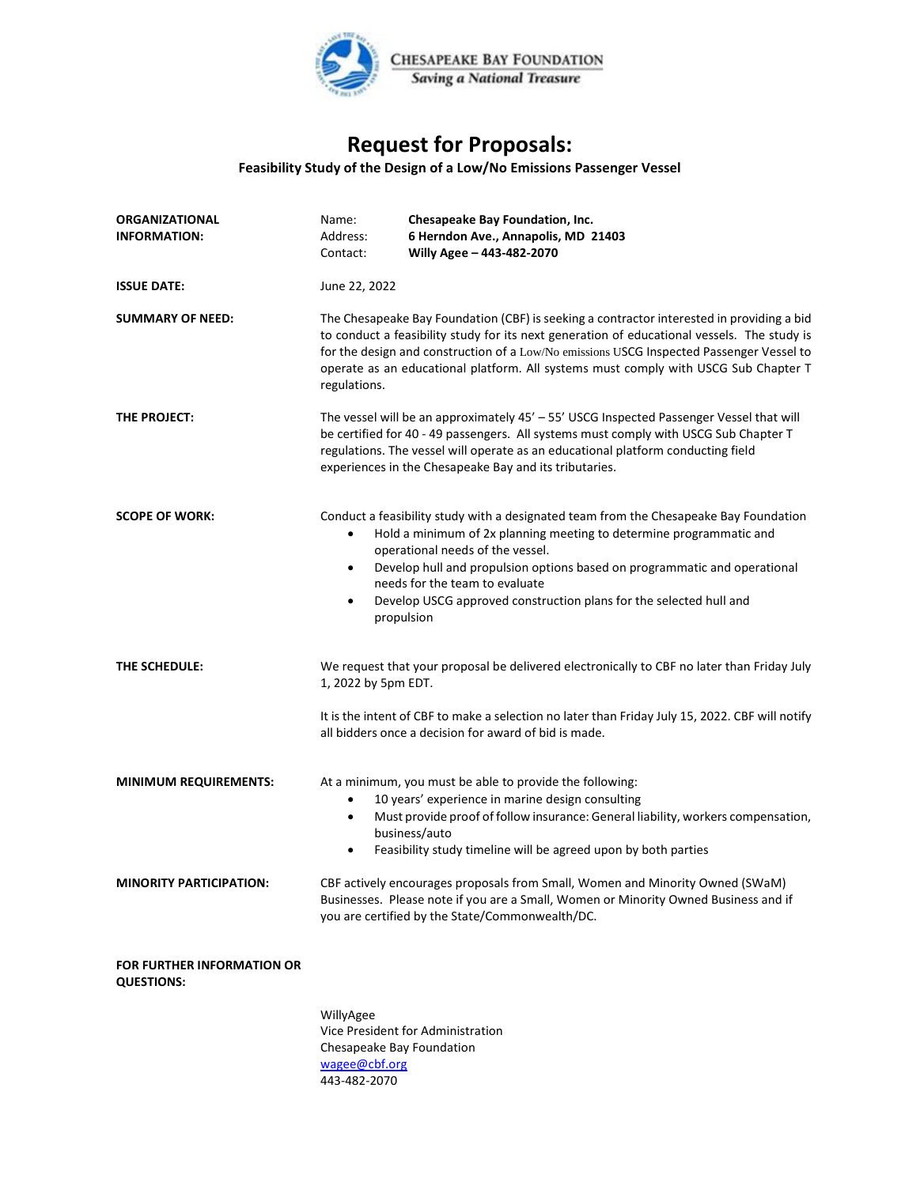

## **Request for Proposals:**

## **Feasibility Study of the Design of a Low/No Emissions Passenger Vessel**

| <b>ORGANIZATIONAL</b><br><b>INFORMATION:</b>           | Name:<br>Address:<br>Contact:                                                                                                                                                                                                                                                                                                                                                               | Chesapeake Bay Foundation, Inc.<br>6 Herndon Ave., Annapolis, MD 21403<br>Willy Agee - 443-482-2070                                                                                                                                                                                                                                                                                                 |
|--------------------------------------------------------|---------------------------------------------------------------------------------------------------------------------------------------------------------------------------------------------------------------------------------------------------------------------------------------------------------------------------------------------------------------------------------------------|-----------------------------------------------------------------------------------------------------------------------------------------------------------------------------------------------------------------------------------------------------------------------------------------------------------------------------------------------------------------------------------------------------|
| <b>ISSUE DATE:</b>                                     | June 22, 2022                                                                                                                                                                                                                                                                                                                                                                               |                                                                                                                                                                                                                                                                                                                                                                                                     |
| <b>SUMMARY OF NEED:</b>                                | The Chesapeake Bay Foundation (CBF) is seeking a contractor interested in providing a bid<br>to conduct a feasibility study for its next generation of educational vessels. The study is<br>for the design and construction of a Low/No emissions USCG Inspected Passenger Vessel to<br>operate as an educational platform. All systems must comply with USCG Sub Chapter T<br>regulations. |                                                                                                                                                                                                                                                                                                                                                                                                     |
| THE PROJECT:                                           | The vessel will be an approximately 45' - 55' USCG Inspected Passenger Vessel that will<br>be certified for 40 - 49 passengers. All systems must comply with USCG Sub Chapter T<br>regulations. The vessel will operate as an educational platform conducting field<br>experiences in the Chesapeake Bay and its tributaries.                                                               |                                                                                                                                                                                                                                                                                                                                                                                                     |
| <b>SCOPE OF WORK:</b>                                  | $\bullet$<br>$\bullet$<br>$\bullet$                                                                                                                                                                                                                                                                                                                                                         | Conduct a feasibility study with a designated team from the Chesapeake Bay Foundation<br>Hold a minimum of 2x planning meeting to determine programmatic and<br>operational needs of the vessel.<br>Develop hull and propulsion options based on programmatic and operational<br>needs for the team to evaluate<br>Develop USCG approved construction plans for the selected hull and<br>propulsion |
| THE SCHEDULE:                                          | 1, 2022 by 5pm EDT.                                                                                                                                                                                                                                                                                                                                                                         | We request that your proposal be delivered electronically to CBF no later than Friday July<br>It is the intent of CBF to make a selection no later than Friday July 15, 2022. CBF will notify<br>all bidders once a decision for award of bid is made.                                                                                                                                              |
| <b>MINIMUM REQUIREMENTS:</b>                           | $\bullet$<br>$\bullet$                                                                                                                                                                                                                                                                                                                                                                      | At a minimum, you must be able to provide the following:<br>10 years' experience in marine design consulting<br>Must provide proof of follow insurance: General liability, workers compensation,<br>business/auto<br>Feasibility study timeline will be agreed upon by both parties                                                                                                                 |
| <b>MINORITY PARTICIPATION:</b>                         |                                                                                                                                                                                                                                                                                                                                                                                             | CBF actively encourages proposals from Small, Women and Minority Owned (SWaM)<br>Businesses. Please note if you are a Small, Women or Minority Owned Business and if<br>you are certified by the State/Commonwealth/DC.                                                                                                                                                                             |
| <b>FOR FURTHER INFORMATION OR</b><br><b>QUESTIONS:</b> |                                                                                                                                                                                                                                                                                                                                                                                             |                                                                                                                                                                                                                                                                                                                                                                                                     |
|                                                        | WillyAgee<br>Chesapeake Bay Foundation<br>wagee@cbf.org<br>443-482-2070                                                                                                                                                                                                                                                                                                                     | Vice President for Administration                                                                                                                                                                                                                                                                                                                                                                   |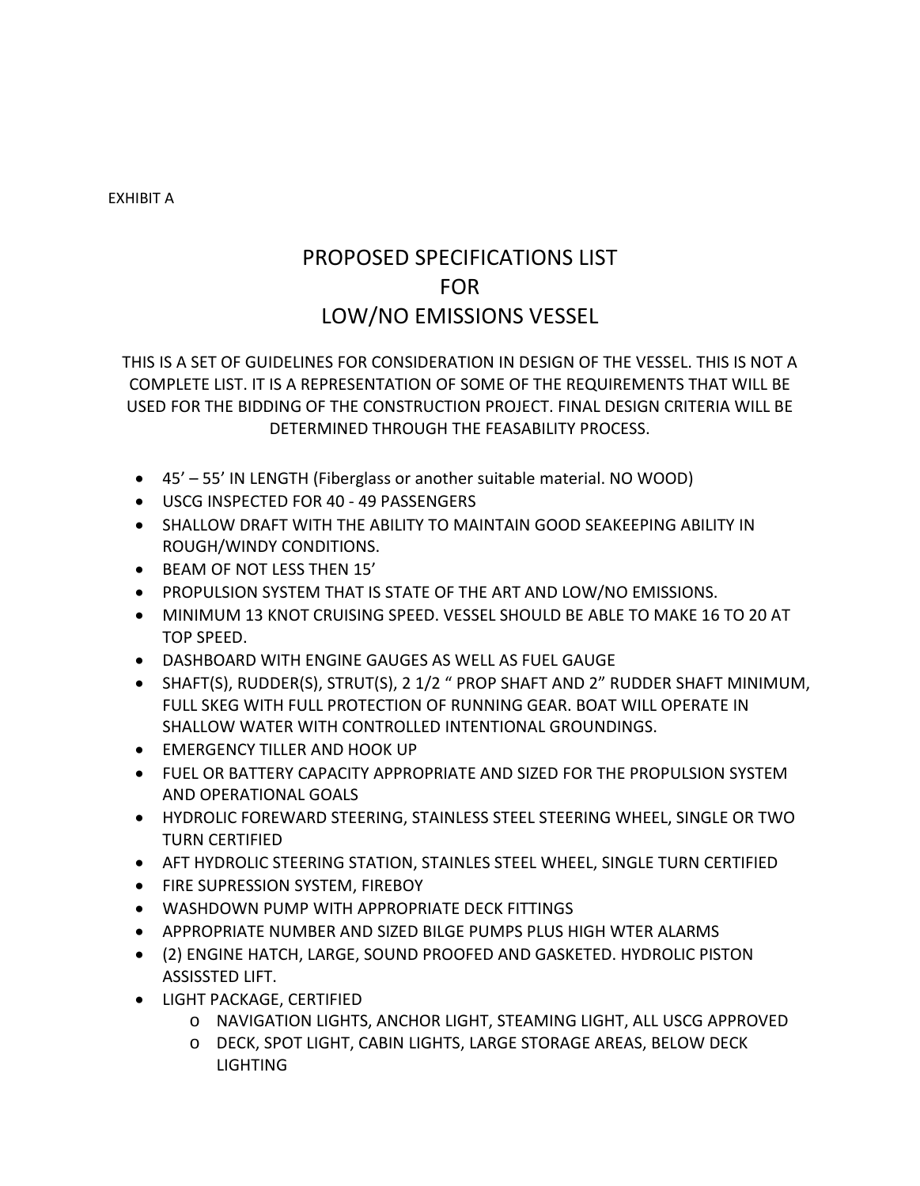EXHIBIT A

## PROPOSED SPECIFICATIONS LIST FOR LOW/NO EMISSIONS VESSEL

THIS IS A SET OF GUIDELINES FOR CONSIDERATION IN DESIGN OF THE VESSEL. THIS IS NOT A COMPLETE LIST. IT IS A REPRESENTATION OF SOME OF THE REQUIREMENTS THAT WILL BE USED FOR THE BIDDING OF THE CONSTRUCTION PROJECT. FINAL DESIGN CRITERIA WILL BE DETERMINED THROUGH THE FEASABILITY PROCESS.

- 45' 55' IN LENGTH (Fiberglass or another suitable material. NO WOOD)
- USCG INSPECTED FOR 40 49 PASSENGERS
- SHALLOW DRAFT WITH THE ABILITY TO MAINTAIN GOOD SEAKEEPING ABILITY IN ROUGH/WINDY CONDITIONS.
- BEAM OF NOT LESS THEN 15'
- PROPULSION SYSTEM THAT IS STATE OF THE ART AND LOW/NO EMISSIONS.
- MINIMUM 13 KNOT CRUISING SPEED. VESSEL SHOULD BE ABLE TO MAKE 16 TO 20 AT TOP SPEED.
- DASHBOARD WITH ENGINE GAUGES AS WELL AS FUEL GAUGE
- SHAFT(S), RUDDER(S), STRUT(S), 2 1/2 " PROP SHAFT AND 2" RUDDER SHAFT MINIMUM, FULL SKEG WITH FULL PROTECTION OF RUNNING GEAR. BOAT WILL OPERATE IN SHALLOW WATER WITH CONTROLLED INTENTIONAL GROUNDINGS.
- EMERGENCY TILLER AND HOOK UP
- FUEL OR BATTERY CAPACITY APPROPRIATE AND SIZED FOR THE PROPULSION SYSTEM AND OPERATIONAL GOALS
- HYDROLIC FOREWARD STEERING, STAINLESS STEEL STEERING WHEEL, SINGLE OR TWO TURN CERTIFIED
- AFT HYDROLIC STEERING STATION, STAINLES STEEL WHEEL, SINGLE TURN CERTIFIED
- **FIRE SUPRESSION SYSTEM, FIREBOY**
- WASHDOWN PUMP WITH APPROPRIATE DECK FITTINGS
- APPROPRIATE NUMBER AND SIZED BILGE PUMPS PLUS HIGH WTER ALARMS
- (2) ENGINE HATCH, LARGE, SOUND PROOFED AND GASKETED. HYDROLIC PISTON ASSISSTED LIFT.
- **LIGHT PACKAGE, CERTIFIED** 
	- o NAVIGATION LIGHTS, ANCHOR LIGHT, STEAMING LIGHT, ALL USCG APPROVED
	- o DECK, SPOT LIGHT, CABIN LIGHTS, LARGE STORAGE AREAS, BELOW DECK LIGHTING